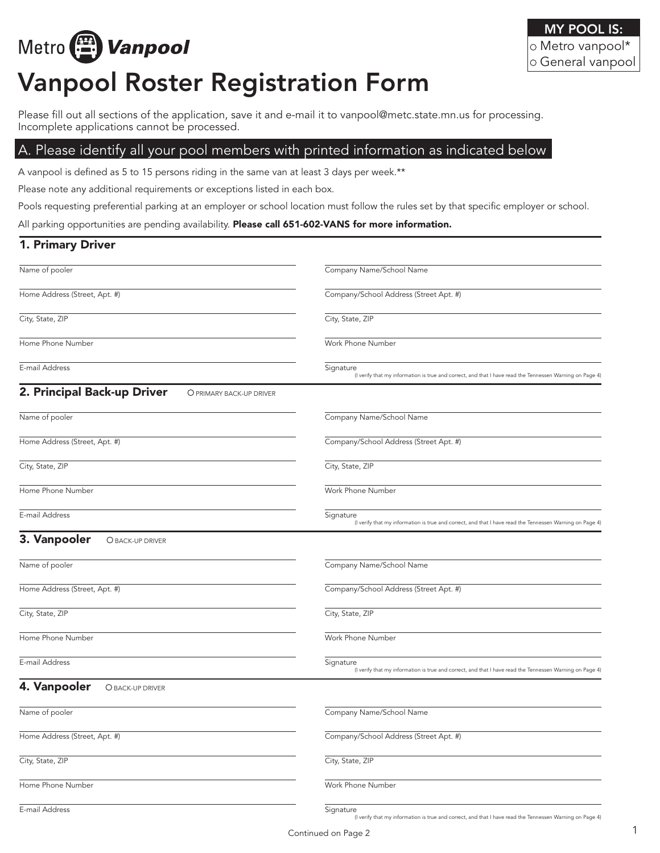# Metro (A) Vanpool

# Vanpool Roster Registration Form

Please fill out all sections of the application, save it and e-mail it to vanpool@metc.state.mn.us for processing. Incomplete applications cannot be processed.

### A. Please identify all your pool members with printed information as indicated below

A vanpool is defined as 5 to 15 persons riding in the same van at least 3 days per week.\*\*

Please note any additional requirements or exceptions listed in each box.

Pools requesting preferential parking at an employer or school location must follow the rules set by that specific employer or school.

All parking opportunities are pending availability. Please call 651-602-VANS for more information.

| 1. Primary Driver                                       |                                                                                                                       |
|---------------------------------------------------------|-----------------------------------------------------------------------------------------------------------------------|
| Name of pooler                                          | Company Name/School Name                                                                                              |
| Home Address (Street, Apt. #)                           | Company/School Address (Street Apt. #)                                                                                |
| City, State, ZIP                                        | City, State, ZIP                                                                                                      |
| Home Phone Number                                       | Work Phone Number                                                                                                     |
| E-mail Address                                          | Signature<br>(I verify that my information is true and correct, and that I have read the Tennessen Warning on Page 4) |
| 2. Principal Back-up Driver<br>O PRIMARY BACK-UP DRIVER |                                                                                                                       |
| Name of pooler                                          | Company Name/School Name                                                                                              |
| Home Address (Street, Apt. #)                           | Company/School Address (Street Apt. #)                                                                                |
| City, State, ZIP                                        | City, State, ZIP                                                                                                      |
| Home Phone Number                                       | Work Phone Number                                                                                                     |
| E-mail Address                                          | Signature<br>(I verify that my information is true and correct, and that I have read the Tennessen Warning on Page 4) |
| 3. Vanpooler<br>O BACK-UP DRIVER                        |                                                                                                                       |
| Name of pooler                                          | Company Name/School Name                                                                                              |
| Home Address (Street, Apt. #)                           | Company/School Address (Street Apt. #)                                                                                |
| City, State, ZIP                                        | City, State, ZIP                                                                                                      |
| Home Phone Number                                       | Work Phone Number                                                                                                     |
| E-mail Address                                          | Signature<br>(I verify that my information is true and correct, and that I have read the Tennessen Warning on Page 4) |
| 4. Vanpooler<br>O BACK-UP DRIVER                        |                                                                                                                       |
| Name of pooler                                          | Company Name/School Name                                                                                              |
| Home Address (Street, Apt. #)                           | Company/School Address (Street Apt. #)                                                                                |
| City, State, ZIP                                        | City, State, ZIP                                                                                                      |
| Home Phone Number                                       | Work Phone Number                                                                                                     |
| E-mail Address                                          | Signature<br>(I verify that my information is true and correct, and that I have read the Tennessen Warning on Page 4) |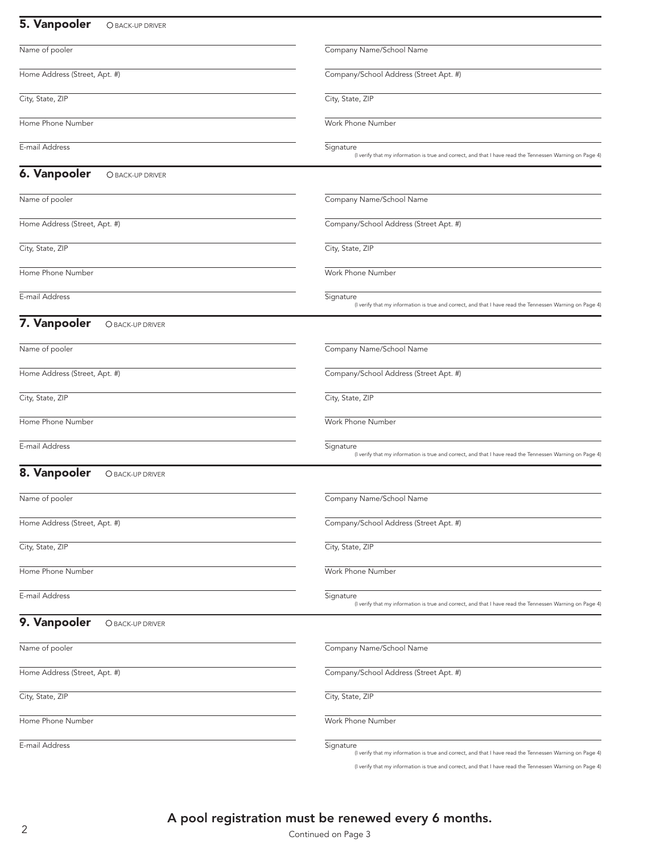#### 5. Vanpooler OBACK-UP DRIVER Name of pooler Home Address (Street, Apt. #) City, State, ZIP Home Phone Number E-mail Address Company Name/School Name Company/School Address (Street Apt. #) City, State, ZIP Work Phone Number **Signature** (I verify that my information is true and correct, and that I have read the Tennessen Warning on Page 4) **6. Vanpooler** OBACK-UP DRIVER Name of pooler Home Address (Street, Apt. #) City, State, ZIP Home Phone Number E-mail Address Company Name/School Name Company/School Address (Street Apt. #) City, State, ZIP Work Phone Number **Signature** (I verify that my information is true and correct, and that I have read the Tennessen Warning on Page 4) 7. Vanpooler OBACK-UP DRIVER Name of pooler Home Address (Street, Apt. #) City, State, ZIP Home Phone Number E-mail Address Company Name/School Name Company/School Address (Street Apt. #) City, State, ZIP Work Phone Number **Signature** (I verify that my information is true and correct, and that I have read the Tennessen Warning on Page 8. Vanpooler OBACK-UP DRIVER Name of pooler Home Address (Street, Apt. #) City, State, ZIP Home Phone Number E-mail Address Company Name/School Name Company/School Address (Street Apt. #) City, State, ZIP Work Phone Number **Signature** (I verify that my information is true and correct, and that I have read the Tennessen Warning on Page 4) 9. Vanpooler OBACK-UP DRIVER Name of pooler Home Address (Street, Apt. #) City, State, ZIP Home Phone Number E-mail Address Company Name/School Name Company/School Address (Street Apt. #) City, State, ZIP Work Phone Number **Signature** (I verify that my information is true and correct, and that I have read the Tennessen Warning on Page 4)

(I verify that my information is true and correct, and that I have read the Tennessen Warning on Page 4)

### A pool registration must be renewed every 6 months.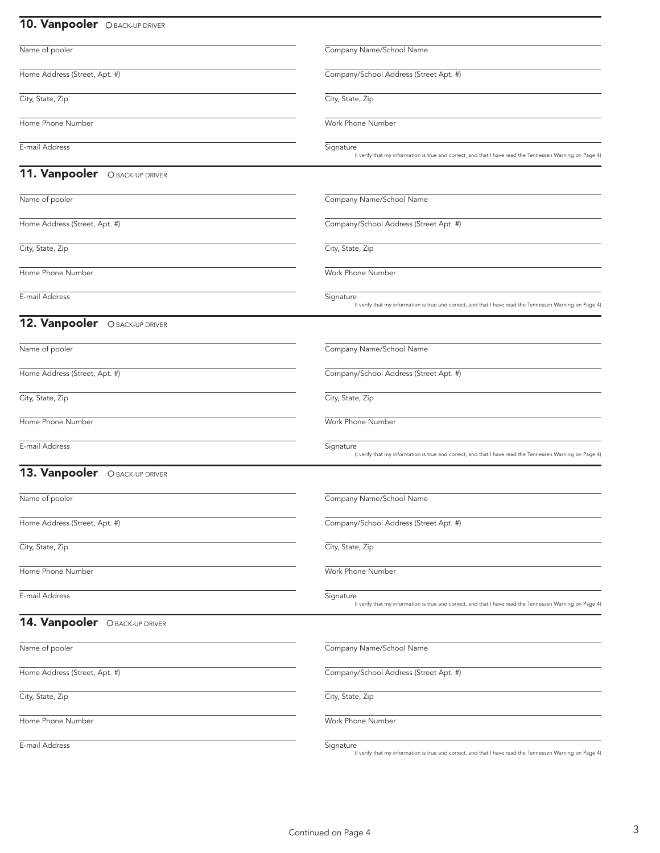## 10. Vanpooler OBACK-UP DRIVER

| Name of pooler                       | Company Name/School Name                                                                                              |
|--------------------------------------|-----------------------------------------------------------------------------------------------------------------------|
| Home Address (Street, Apt. #)        | Company/School Address (Street Apt. #)                                                                                |
| City, State, Zip                     | City, State, Zip                                                                                                      |
| Home Phone Number                    | Work Phone Number                                                                                                     |
| E-mail Address                       | Signature<br>(I verify that my information is true and correct, and that I have read the Tennessen Warning on Page 4) |
| <b>11. Vanpooler</b> OBACK-UP DRIVER |                                                                                                                       |
| Name of pooler                       | Company Name/School Name                                                                                              |
| Home Address (Street, Apt. #)        | Company/School Address (Street Apt. #)                                                                                |
| City, State, Zip                     | City, State, Zip                                                                                                      |
| Home Phone Number                    | Work Phone Number                                                                                                     |
| E-mail Address                       | Signature<br>(I verify that my information is true and correct, and that I have read the Tennessen Warning on Page 4) |
| 12. Vanpooler OBACK-UP DRIVER        |                                                                                                                       |
| Name of pooler                       | Company Name/School Name                                                                                              |
| Home Address (Street, Apt. #)        | Company/School Address (Street Apt. #)                                                                                |
| City, State, Zip                     | City, State, Zip                                                                                                      |
| Home Phone Number                    | Work Phone Number                                                                                                     |
| E-mail Address                       | Signature<br>(I verify that my information is true and correct, and that I have read the Tennessen Warning on Page 4) |
| 13. Vanpooler OBACK-UP DRIVER        |                                                                                                                       |
| Name of pooler                       | Company Name/School Name                                                                                              |
| Home Address (Street, Apt. #)        | Company/School Address (Street Apt. #)                                                                                |
| City, State, Zip                     | City, State, Zip                                                                                                      |
| Home Phone Number                    | Work Phone Number                                                                                                     |
| E-mail Address                       | Signature<br>(I verify that my information is true and correct, and that I have read the Tennessen Warning on Page 4) |
| 14. Vanpooler OBACK-UP DRIVER        |                                                                                                                       |
| Name of pooler                       | Company Name/School Name                                                                                              |
| Home Address (Street, Apt. #)        | Company/School Address (Street Apt. #)                                                                                |
| City, State, Zip                     | City, State, Zip                                                                                                      |
| Home Phone Number                    | Work Phone Number                                                                                                     |
| E-mail Address                       | Signature<br>(I verify that my information is true and correct, and that I have read the Tennessen Warning on Page 4) |